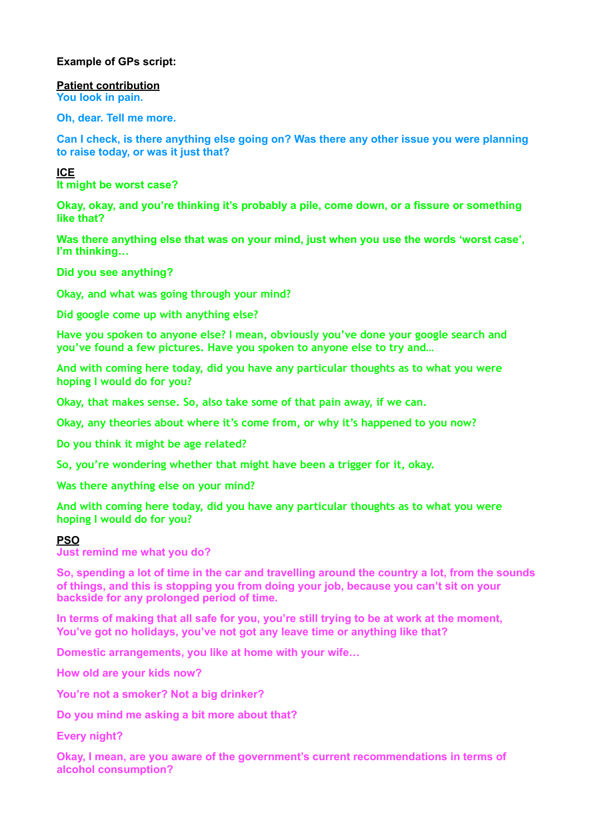# **Example of GPs script:**

**Patient contribution You look in pain.** 

**Oh, dear. Tell me more.** 

**Can I check, is there anything else going on? Was there any other issue you were planning to raise today, or was it just that?**

**ICE It might be worst case?** 

**Okay, okay, and you're thinking it's probably a pile, come down, or a fissure or something like that?** 

**Was there anything else that was on your mind, just when you use the words 'worst case', I'm thinking…** 

**Did you see anything?**

**Okay, and what was going through your mind?** 

**Did google come up with anything else?** 

**Have you spoken to anyone else? I mean, obviously you've done your google search and you've found a few pictures. Have you spoken to anyone else to try and…** 

**And with coming here today, did you have any particular thoughts as to what you were hoping I would do for you?** 

**Okay, that makes sense. So, also take some of that pain away, if we can.** 

**Okay, any theories about where it's come from, or why it's happened to you now?** 

**Do you think it might be age related?** 

**So, you're wondering whether that might have been a trigger for it, okay.** 

**Was there anything else on your mind?** 

**And with coming here today, did you have any particular thoughts as to what you were hoping I would do for you?** 

# **PSO**

**Just remind me what you do?** 

**So, spending a lot of time in the car and travelling around the country a lot, from the sounds of things, and this is stopping you from doing your job, because you can't sit on your backside for any prolonged period of time.** 

**In terms of making that all safe for you, you're still trying to be at work at the moment, You've got no holidays, you've not got any leave time or anything like that?** 

**Domestic arrangements, you like at home with your wife…** 

**How old are your kids now?** 

**You're not a smoker? Not a big drinker?** 

**Do you mind me asking a bit more about that?** 

**Every night?** 

**Okay, I mean, are you aware of the government's current recommendations in terms of alcohol consumption?**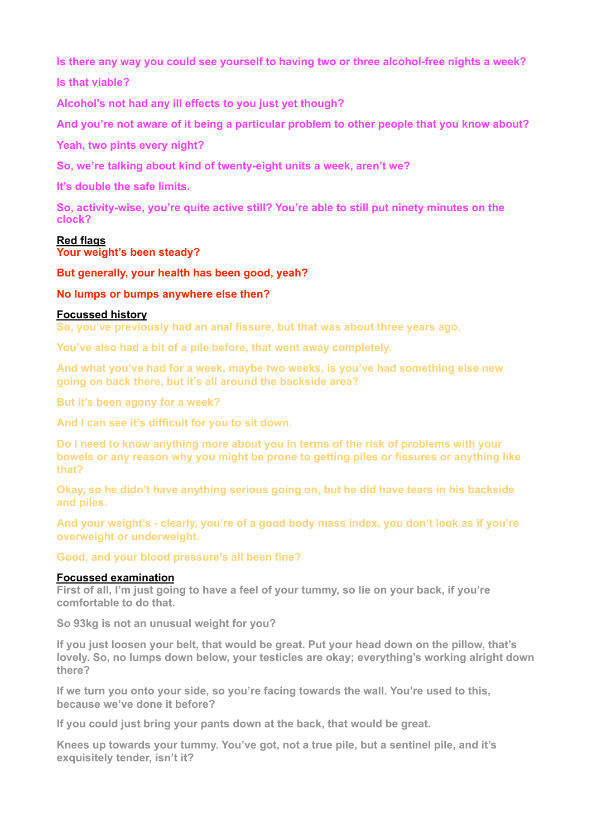**Is there any way you could see yourself to having two or three alcohol-free nights a week? Is that viable?** 

**Alcohol's not had any ill effects to you just yet though?** 

**And you're not aware of it being a particular problem to other people that you know about?** 

**Yeah, two pints every night?** 

**So, we're talking about kind of twenty-eight units a week, aren't we?** 

**It's double the safe limits.** 

**So, activity-wise, you're quite active still? You're able to still put ninety minutes on the clock?**

## **Red flags**

**Your weight's been steady?** 

**But generally, your health has been good, yeah?** 

## **No lumps or bumps anywhere else then?**

## **Focussed history**

**So, you've previously had an anal fissure, but that was about three years ago.** 

**You've also had a bit of a pile before, that went away completely.** 

**And what you've had for a week, maybe two weeks, is you've had something else new going on back there, but it's all around the backside area?** 

**But it's been agony for a week?** 

**And I can see it's difficult for you to sit down.** 

**Do I need to know anything more about you in terms of the risk of problems with your bowels or any reason why you might be prone to getting piles or fissures or anything like that?** 

**Okay, so he didn't have anything serious going on, but he did have tears in his backside and piles.** 

**And your weight's - clearly, you're of a good body mass index, you don't look as if you're overweight or underweight.** 

**Good, and your blood pressure's all been fine?** 

## **Focussed examination**

**First of all, I'm just going to have a feel of your tummy, so lie on your back, if you're comfortable to do that.** 

**So 93kg is not an unusual weight for you?** 

**If you just loosen your belt, that would be great. Put your head down on the pillow, that's lovely. So, no lumps down below, your testicles are okay; everything's working alright down there?** 

**If we turn you onto your side, so you're facing towards the wall. You're used to this, because we've done it before?** 

**If you could just bring your pants down at the back, that would be great.** 

**Knees up towards your tummy. You've got, not a true pile, but a sentinel pile, and it's exquisitely tender, isn't it?**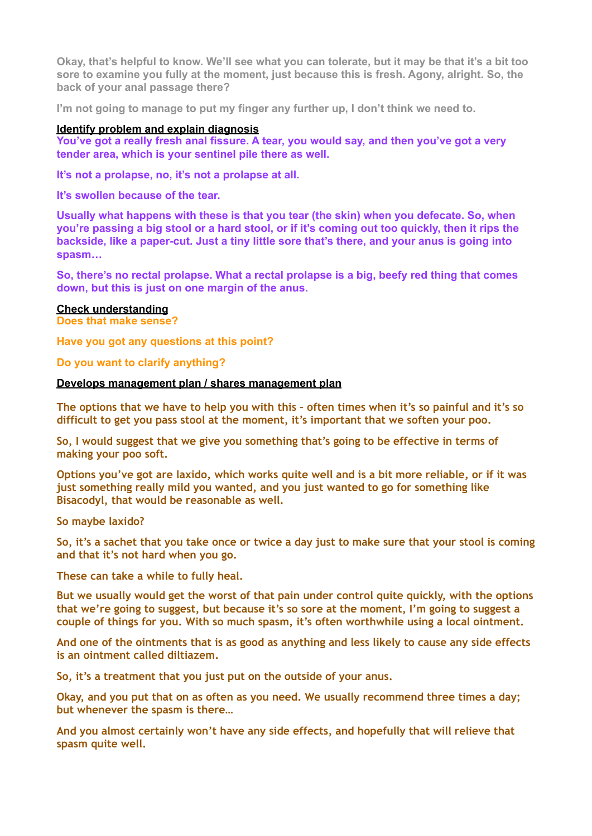**Okay, that's helpful to know. We'll see what you can tolerate, but it may be that it's a bit too sore to examine you fully at the moment, just because this is fresh. Agony, alright. So, the back of your anal passage there?** 

**I'm not going to manage to put my finger any further up, I don't think we need to.** 

## **Identify problem and explain diagnosis**

**You've got a really fresh anal fissure. A tear, you would say, and then you've got a very tender area, which is your sentinel pile there as well.** 

**It's not a prolapse, no, it's not a prolapse at all.** 

**It's swollen because of the tear.** 

**Usually what happens with these is that you tear (the skin) when you defecate. So, when you're passing a big stool or a hard stool, or if it's coming out too quickly, then it rips the backside, like a paper-cut. Just a tiny little sore that's there, and your anus is going into spasm…** 

**So, there's no rectal prolapse. What a rectal prolapse is a big, beefy red thing that comes down, but this is just on one margin of the anus.**

### **Check understanding**

**Does that make sense?** 

**Have you got any questions at this point?** 

### **Do you want to clarify anything?**

## **Develops management plan / shares management plan**

**The options that we have to help you with this – often times when it's so painful and it's so difficult to get you pass stool at the moment, it's important that we soften your poo.** 

**So, I would suggest that we give you something that's going to be effective in terms of making your poo soft.** 

**Options you've got are laxido, which works quite well and is a bit more reliable, or if it was just something really mild you wanted, and you just wanted to go for something like Bisacodyl, that would be reasonable as well.** 

**So maybe laxido?** 

**So, it's a sachet that you take once or twice a day just to make sure that your stool is coming and that it's not hard when you go.** 

**These can take a while to fully heal.** 

**But we usually would get the worst of that pain under control quite quickly, with the options that we're going to suggest, but because it's so sore at the moment, I'm going to suggest a couple of things for you. With so much spasm, it's often worthwhile using a local ointment.** 

**And one of the ointments that is as good as anything and less likely to cause any side effects is an ointment called diltiazem.** 

**So, it's a treatment that you just put on the outside of your anus.** 

**Okay, and you put that on as often as you need. We usually recommend three times a day; but whenever the spasm is there…** 

**And you almost certainly won't have any side effects, and hopefully that will relieve that spasm quite well.**